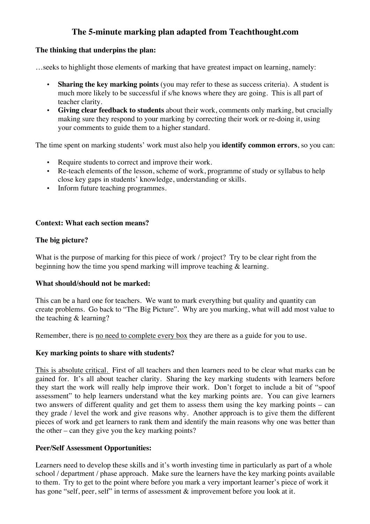# **The 5-minute marking plan adapted from Teachthought.com**

## **The thinking that underpins the plan:**

…seeks to highlight those elements of marking that have greatest impact on learning, namely:

- **Sharing the key marking points** (you may refer to these as success criteria). A student is much more likely to be successful if s/he knows where they are going. This is all part of teacher clarity.
- **Giving clear feedback to students** about their work, comments only marking, but crucially making sure they respond to your marking by correcting their work or re-doing it, using your comments to guide them to a higher standard.

The time spent on marking students' work must also help you **identify common errors**, so you can:

- Require students to correct and improve their work.
- Re-teach elements of the lesson, scheme of work, programme of study or syllabus to help close key gaps in students' knowledge, understanding or skills.
- Inform future teaching programmes.

## **Context: What each section means?**

## **The big picture?**

What is the purpose of marking for this piece of work / project? Try to be clear right from the beginning how the time you spend marking will improve teaching  $\&$  learning.

## **What should/should not be marked:**

This can be a hard one for teachers. We want to mark everything but quality and quantity can create problems. Go back to "The Big Picture". Why are you marking, what will add most value to the teaching & learning?

Remember, there is no need to complete every box they are there as a guide for you to use.

## **Key marking points to share with students?**

This is absolute critical. First of all teachers and then learners need to be clear what marks can be gained for. It's all about teacher clarity. Sharing the key marking students with learners before they start the work will really help improve their work. Don't forget to include a bit of "spoof assessment" to help learners understand what the key marking points are. You can give learners two answers of different quality and get them to assess them using the key marking points – can they grade / level the work and give reasons why. Another approach is to give them the different pieces of work and get learners to rank them and identify the main reasons why one was better than the other – can they give you the key marking points?

## **Peer/Self Assessment Opportunities:**

Learners need to develop these skills and it's worth investing time in particularly as part of a whole school / department / phase approach. Make sure the learners have the key marking points available to them. Try to get to the point where before you mark a very important learner's piece of work it has gone "self, peer, self" in terms of assessment & improvement before you look at it.